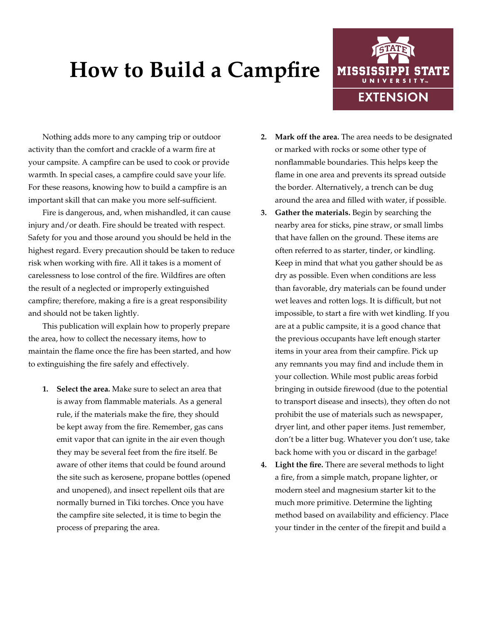## **How to Build a Campfire**



Nothing adds more to any camping trip or outdoor activity than the comfort and crackle of a warm fire at your campsite. A campfire can be used to cook or provide warmth. In special cases, a campfire could save your life. For these reasons, knowing how to build a campfire is an important skill that can make you more self-sufficient.

Fire is dangerous, and, when mishandled, it can cause injury and/or death. Fire should be treated with respect. Safety for you and those around you should be held in the highest regard. Every precaution should be taken to reduce risk when working with fire. All it takes is a moment of carelessness to lose control of the fire. Wildfires are often the result of a neglected or improperly extinguished campfire; therefore, making a fire is a great responsibility and should not be taken lightly.

This publication will explain how to properly prepare the area, how to collect the necessary items, how to maintain the flame once the fire has been started, and how to extinguishing the fire safely and effectively.

**1. Select the area.** Make sure to select an area that is away from flammable materials. As a general rule, if the materials make the fire, they should be kept away from the fire. Remember, gas cans emit vapor that can ignite in the air even though they may be several feet from the fire itself. Be aware of other items that could be found around the site such as kerosene, propane bottles (opened and unopened), and insect repellent oils that are normally burned in Tiki torches. Once you have the campfire site selected, it is time to begin the process of preparing the area.

- **2. Mark off the area.** The area needs to be designated or marked with rocks or some other type of nonflammable boundaries. This helps keep the flame in one area and prevents its spread outside the border. Alternatively, a trench can be dug around the area and filled with water, if possible.
- **3. Gather the materials.** Begin by searching the nearby area for sticks, pine straw, or small limbs that have fallen on the ground. These items are often referred to as starter, tinder, or kindling. Keep in mind that what you gather should be as dry as possible. Even when conditions are less than favorable, dry materials can be found under wet leaves and rotten logs. It is difficult, but not impossible, to start a fire with wet kindling. If you are at a public campsite, it is a good chance that the previous occupants have left enough starter items in your area from their campfire. Pick up any remnants you may find and include them in your collection. While most public areas forbid bringing in outside firewood (due to the potential to transport disease and insects), they often do not prohibit the use of materials such as newspaper, dryer lint, and other paper items. Just remember, don't be a litter bug. Whatever you don't use, take back home with you or discard in the garbage!
- **4. Light the fire.** There are several methods to light a fire, from a simple match, propane lighter, or modern steel and magnesium starter kit to the much more primitive. Determine the lighting method based on availability and efficiency. Place your tinder in the center of the firepit and build a